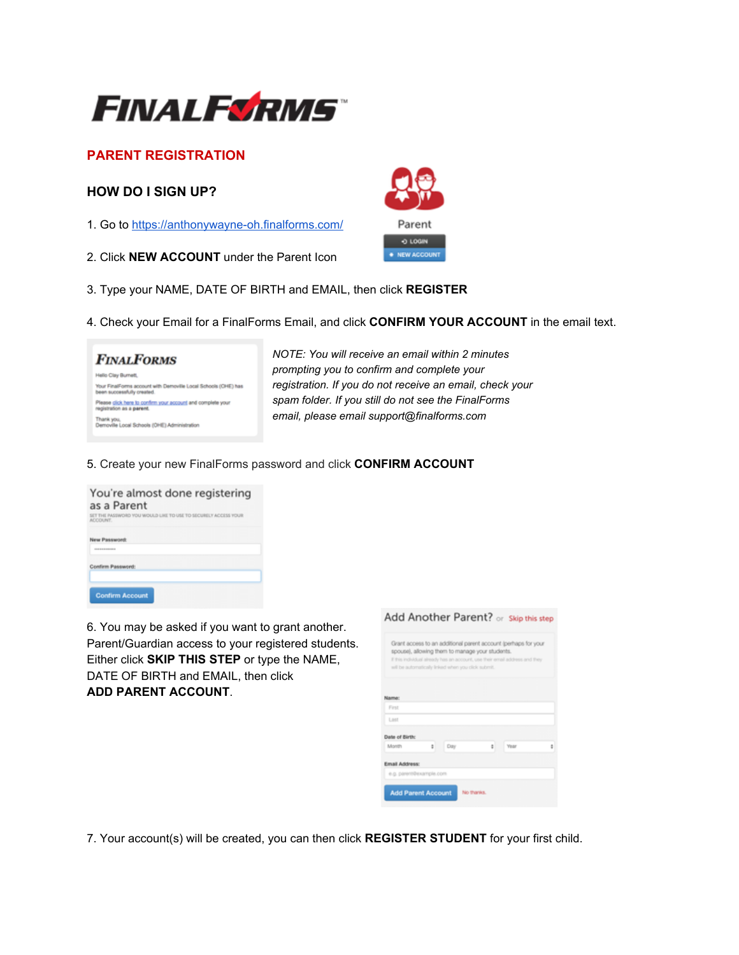

# **PARENT REGISTRATION**

## **HOW DO I SIGN UP?**

- 1. Go to<https://anthonywayne-oh.finalforms.com/>
- 2. Click **NEW ACCOUNT** under the Parent Icon



- 3. Type your NAME, DATE OF BIRTH and EMAIL, then click **REGISTER**
- 4. Check your Email for a FinalForms Email, and click **CONFIRM YOUR ACCOUNT** in the email text.

| <b>FINALFORMS</b>                                                                            |  |
|----------------------------------------------------------------------------------------------|--|
| Hello Clay Burnett.                                                                          |  |
| Your FinalForms account with Demoville Local Schools (OHE) has<br>been successfully created. |  |
| Please click here to confirm your account and complete your<br>registration as a parent.     |  |
| Thank you.<br>Demoville Local Schools (OHE) Administration                                   |  |

 *NOTE: You will receive an email within 2 minutes prompting you to confirm and complete your registration. If you do not receive an email, check your spam folder. If you still do not see the FinalForms email, please email support@finalforms.com*

### 5. Create your new FinalForms password and click **CONFIRM ACCOUNT**

| You're almost done registering<br>as a Parent                                                                                                                                                                                                                     |  |  |  |  |  |  |
|-------------------------------------------------------------------------------------------------------------------------------------------------------------------------------------------------------------------------------------------------------------------|--|--|--|--|--|--|
| SET THE PASSWORD YOU WOULD LIKE TO USE TO SECURELY ACCESS YOUR<br>ACCOUNT.                                                                                                                                                                                        |  |  |  |  |  |  |
| New Password:<br><b><i><u>A R R R R R R R PORT OF THE SAME REPORT OF THE ART REPORT OF THE ART REPORTED A REPORT OF THE ART REPORTED A REPORT OF THE ART REPORTED A REPORT OF THE ART REPORTED A REPORT OF THE ART REPORTED A REPORT OF THE ART REPOR</u></i></b> |  |  |  |  |  |  |
| Confirm Password:                                                                                                                                                                                                                                                 |  |  |  |  |  |  |
| <b>Confirm Account</b>                                                                                                                                                                                                                                            |  |  |  |  |  |  |

6. You may be asked if you want to grant another. Parent/Guardian access to your registered students. Either click **SKIP THIS STEP** or type the NAME, DATE OF BIRTH and EMAIL, then click **ADD PARENT ACCOUNT**.

| will be automatically linked when you click submit. |   |     | spouse), allowing them to manage your students. |   | Grant access to an additional parent account (perhaps for your<br>If this individual already has an account, use their email address and they |  |
|-----------------------------------------------------|---|-----|-------------------------------------------------|---|-----------------------------------------------------------------------------------------------------------------------------------------------|--|
| Name:                                               |   |     |                                                 |   |                                                                                                                                               |  |
| First                                               |   |     |                                                 |   |                                                                                                                                               |  |
| Last                                                |   |     |                                                 |   |                                                                                                                                               |  |
| Date of Birth:                                      |   |     |                                                 |   |                                                                                                                                               |  |
| Month                                               | ÷ | Day |                                                 | ÷ | Year                                                                                                                                          |  |
| Email Address:                                      |   |     |                                                 |   |                                                                                                                                               |  |
| e.g. parent@example.com                             |   |     |                                                 |   |                                                                                                                                               |  |

7. Your account(s) will be created, you can then click **REGISTER STUDENT** for your first child.